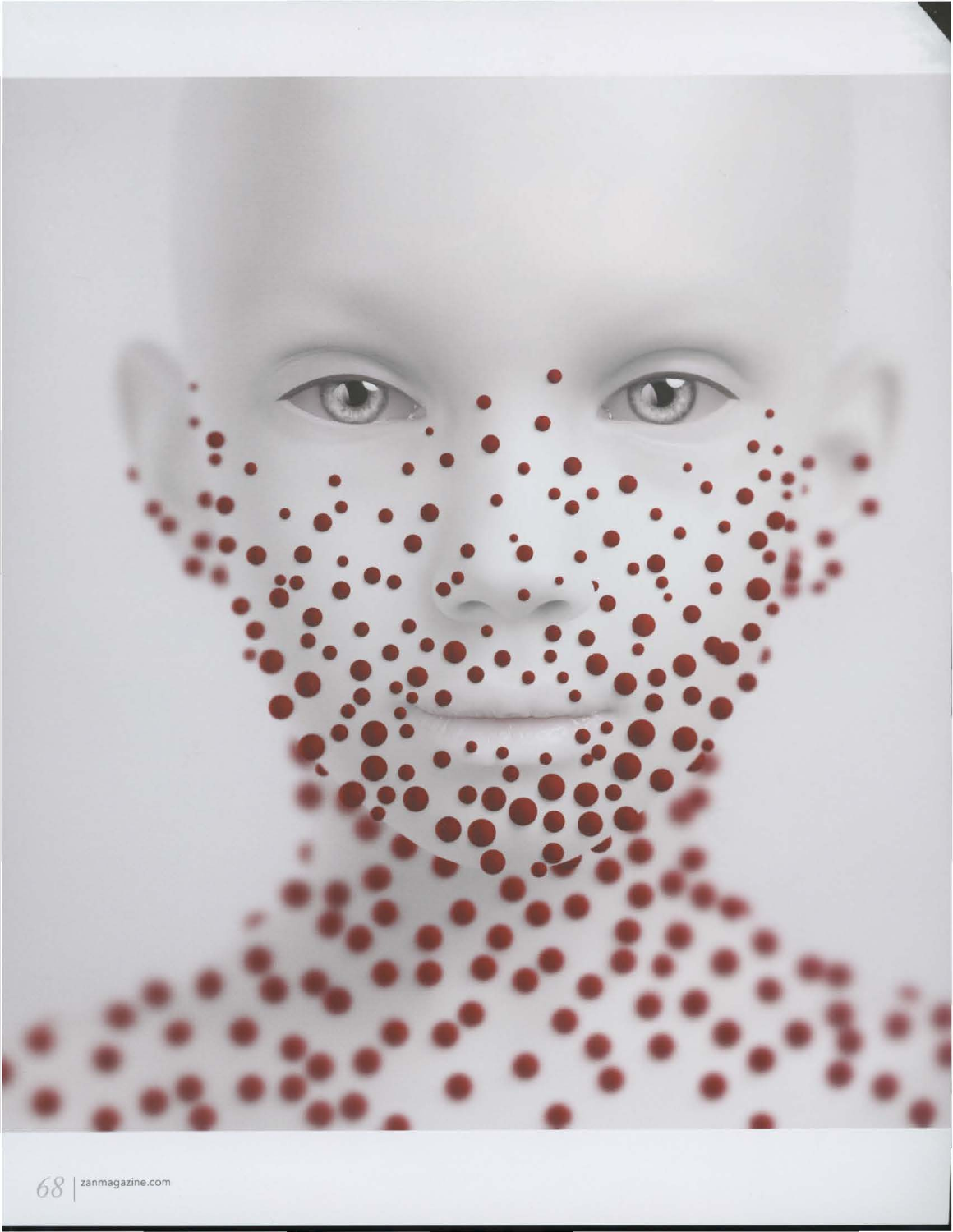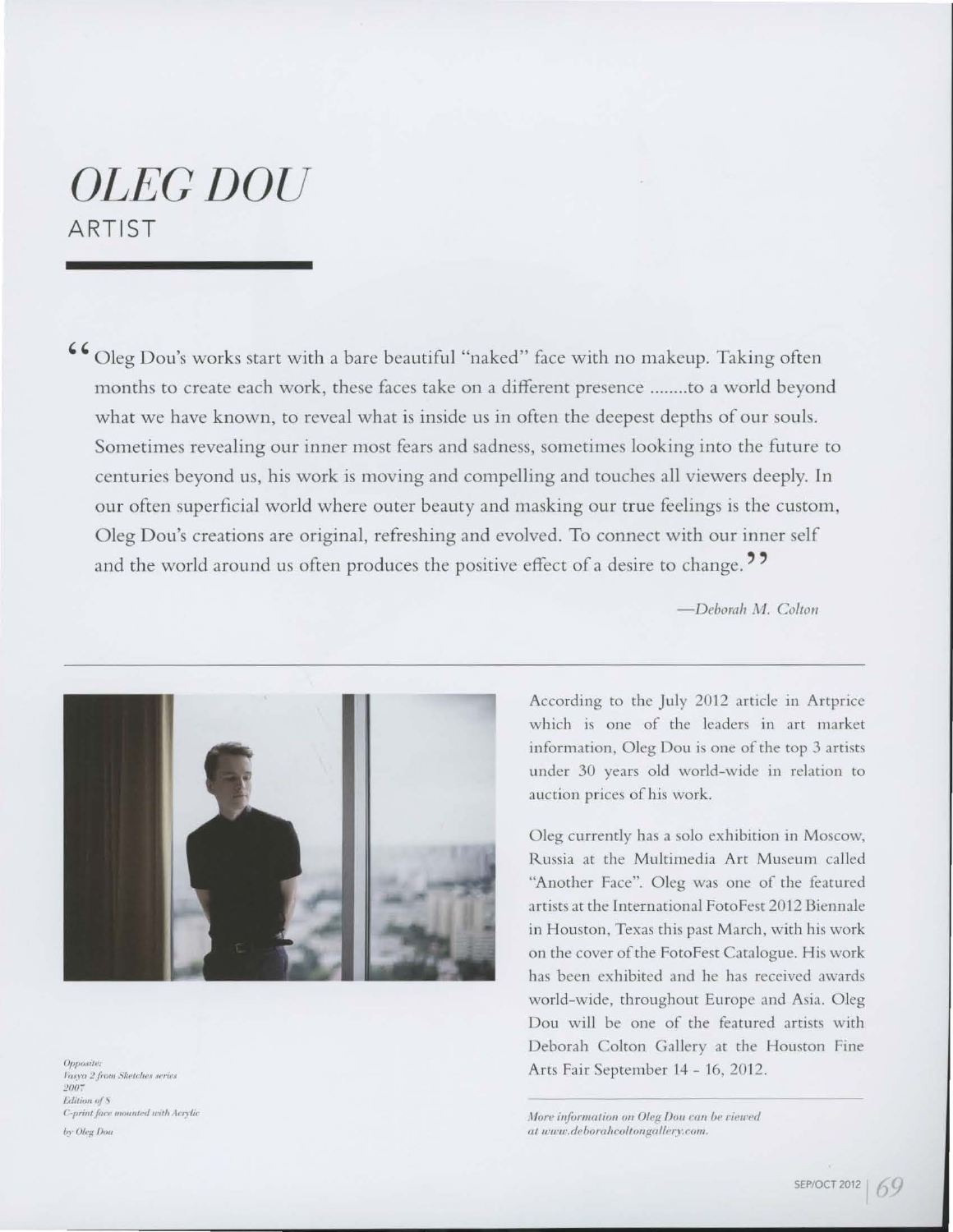## *OLEGDOU*  **ARTIST**

Oleg Dou's works start with a bare beautiful "naked" face with no makeup. Taking often months to create each work, these faces take on a different presence ........ to a world beyond what we have known, to reveal what is inside us in often the deepest depths of our souls. Sometimes revealing our inner most fears and sadness, sometimes looking into the future to centuries beyond us, his work is moving and compelling and touches all viewers deeply. In our often superficial world where outer beauty and masking our true feelings is the custom, Oleg Dou's creations are original, refreshing and evolved. To connect with our inner self and the world around us often produces the positive effect of a desire to change.<sup>??</sup>

 $-Deb$ orah *M*, *Colton* 



Opposite: Iasya 2 from Sketches series  $9007$ *Cdition of S*  $C$ -print face mounted with Acrylic by Oleg Dou

According to the July 2012 article in Artprice which is one of the leaders in art market information, Oleg Dou is one of the top 3 artists under 30 years old world-wide in relation to auction prices of his work.

Oleg currently has a solo exhibition in Moscow, Russia at the Multimedia Art Museum called "Another Face". Oleg was one of the featured artists at the International fotoFesr 2012 Biennale in Houston, Texas this past March, with his work on the cover of the FotoFest Catalogue. His work has been exhibited and he has received awards world-wide, throughout Europe and Asia. 01eg Dou will be one of the featured artists with Deborah Colton Gallery at the Houston Fine Arts Fair September 14 - 16, 2012.

*More information on Oleg Dou can be riewed* at www.deborahcoltongallery.com.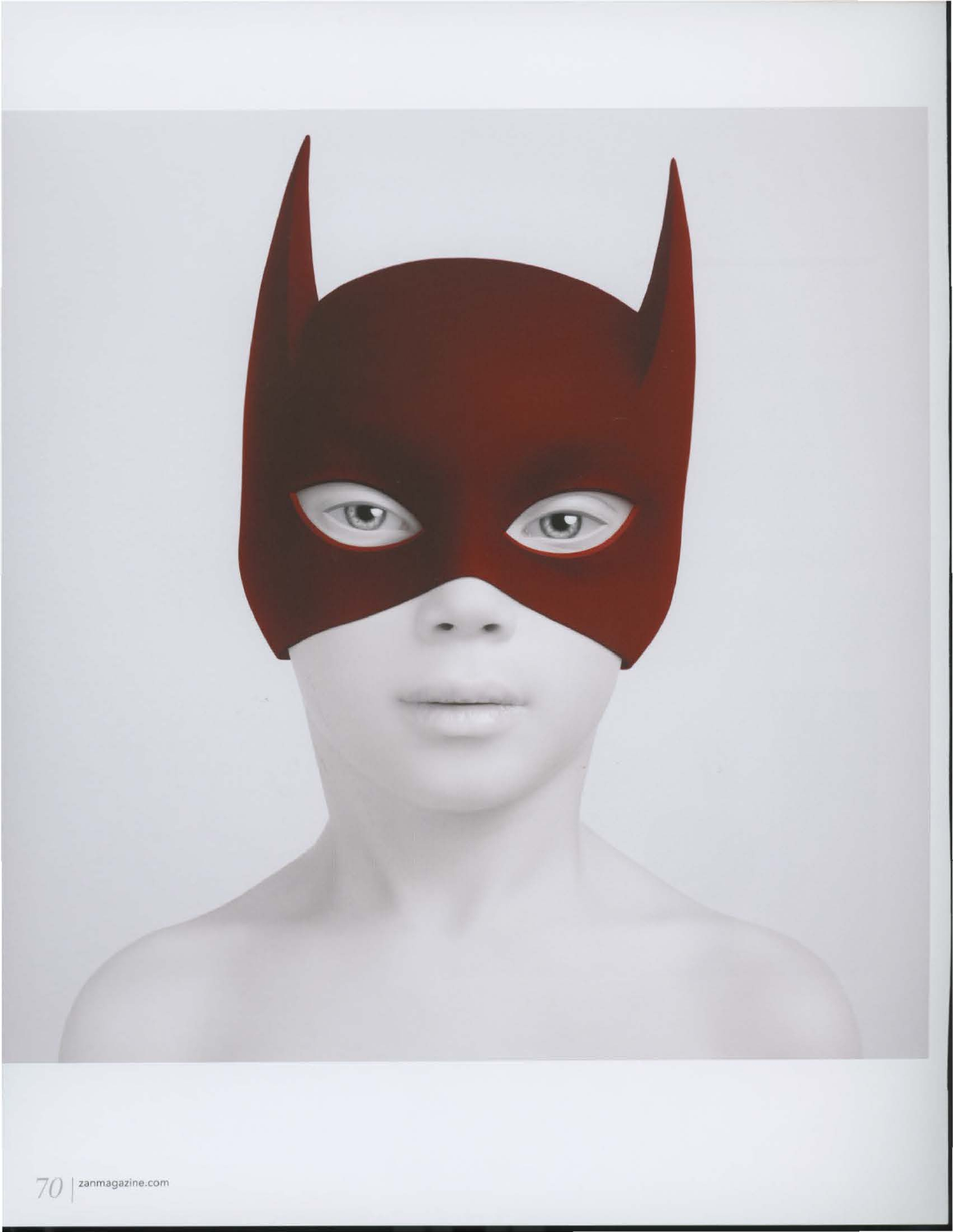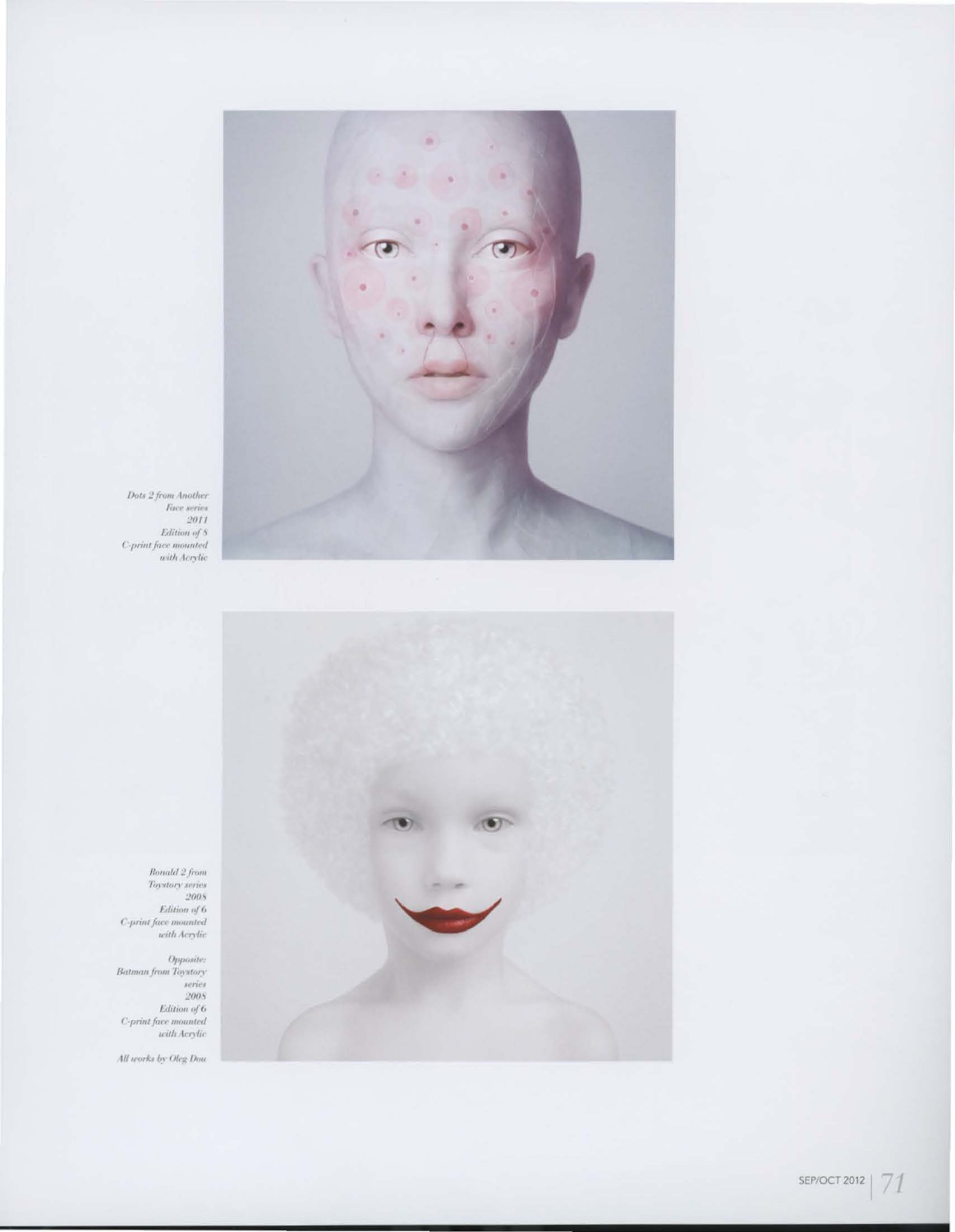

 $\begin{minipage}{0.9\linewidth} \textit{Dots 2 from Another} \\ \textit{Force series} \\ 2011 \\ \textit{Edition of 8} \\ \textit{C-print face mounted} \\ with Acyclic \end{minipage}$ 



 $\begin{array}{c} \textit{Roundl 2 from} \\ \textit{Taylor series} \\ \textit{2008} \\ \textit{Editor of 6} \\ \textit{C-print face mounted} \\ \textit{with Acyclic} \end{array}$ 

.0pposite:<br>Batman from Toystory<br>series<br>2008<br>Edition of 6<br>C-print face mounted<br>with Acrylic

All works by Oleg Dou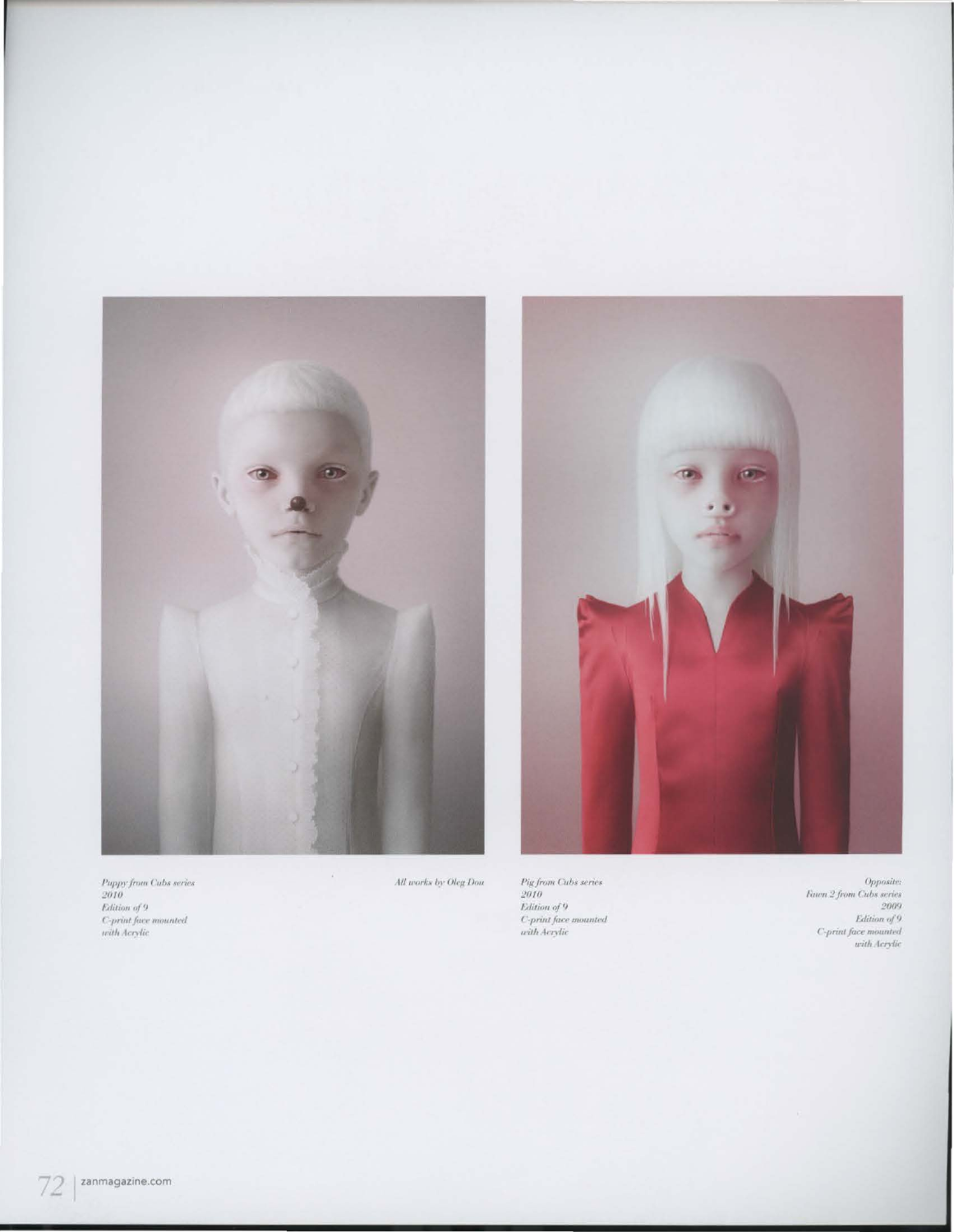

Puppy from Cubs series<br>2010<br>Edition of 9<br>C-print face mounted<br>with Acrylic

All works by Oleg Dou



Pig from Cubs series<br>2010<br>Edition of 9<br>C-print face mounted<br>with Aerylic

Opposite:<br>Fawn 2 from Cubs series<br>2009 Edition of 9<br>C-print face mounted<br>with Acrylic